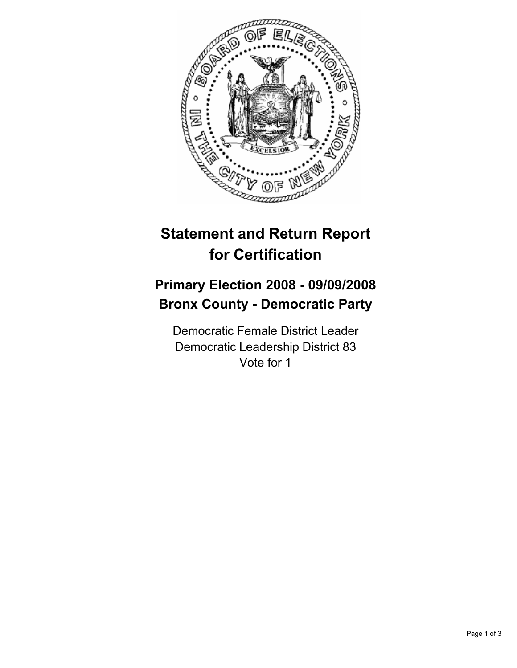

## **Statement and Return Report for Certification**

## **Primary Election 2008 - 09/09/2008 Bronx County - Democratic Party**

Democratic Female District Leader Democratic Leadership District 83 Vote for 1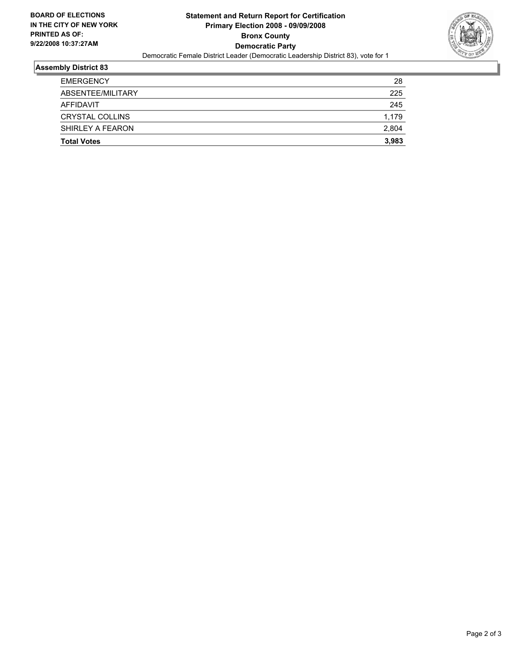

## **Assembly District 83**

| <b>Total Votes</b> | 3,983 |
|--------------------|-------|
| SHIRLEY A FEARON   | 2,804 |
| CRYSTAL COLLINS    | 1,179 |
| AFFIDAVIT          | 245   |
| ABSENTEE/MILITARY  | 225   |
| <b>EMERGENCY</b>   | 28    |